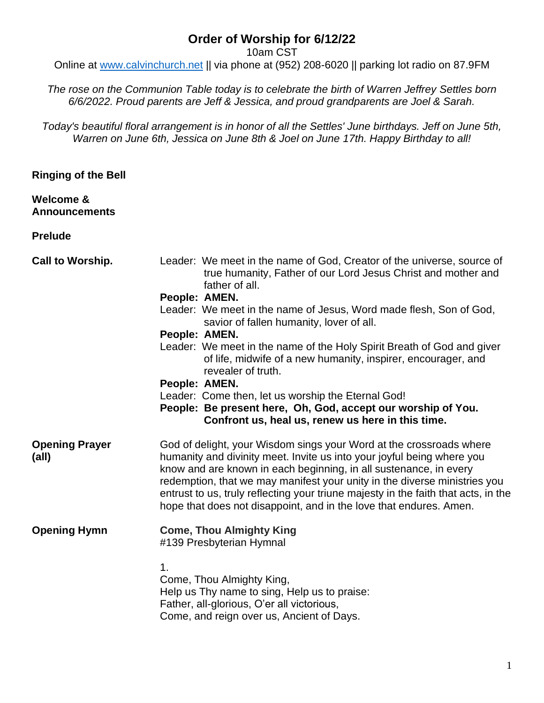## **Order of Worship for 6/12/22**

10am CST

Online at [www.calvinchurch.net](http://www.calvinchurch.net/) || via phone at (952) 208-6020 || parking lot radio on 87.9FM

*The rose on the Communion Table today is to celebrate the birth of Warren Jeffrey Settles born 6/6/2022. Proud parents are Jeff & Jessica, and proud grandparents are Joel & Sarah.*

*Today's beautiful floral arrangement is in honor of all the Settles' June birthdays. Jeff on June 5th, Warren on June 6th, Jessica on June 8th & Joel on June 17th. Happy Birthday to all!*

**Ringing of the Bell**

**Welcome & Announcements**

**Prelude**

| <b>Call to Worship.</b>        | Leader: We meet in the name of God, Creator of the universe, source of<br>true humanity, Father of our Lord Jesus Christ and mother and<br>father of all.                                                                                                                                                                                                                                                                                                   |
|--------------------------------|-------------------------------------------------------------------------------------------------------------------------------------------------------------------------------------------------------------------------------------------------------------------------------------------------------------------------------------------------------------------------------------------------------------------------------------------------------------|
|                                | People: AMEN.                                                                                                                                                                                                                                                                                                                                                                                                                                               |
|                                | Leader: We meet in the name of Jesus, Word made flesh, Son of God,<br>savior of fallen humanity, lover of all.                                                                                                                                                                                                                                                                                                                                              |
|                                | People: AMEN.                                                                                                                                                                                                                                                                                                                                                                                                                                               |
|                                | Leader: We meet in the name of the Holy Spirit Breath of God and giver<br>of life, midwife of a new humanity, inspirer, encourager, and<br>revealer of truth.                                                                                                                                                                                                                                                                                               |
|                                | People: AMEN.                                                                                                                                                                                                                                                                                                                                                                                                                                               |
|                                | Leader: Come then, let us worship the Eternal God!                                                                                                                                                                                                                                                                                                                                                                                                          |
|                                | People: Be present here, Oh, God, accept our worship of You.                                                                                                                                                                                                                                                                                                                                                                                                |
|                                | Confront us, heal us, renew us here in this time.                                                                                                                                                                                                                                                                                                                                                                                                           |
| <b>Opening Prayer</b><br>(all) | God of delight, your Wisdom sings your Word at the crossroads where<br>humanity and divinity meet. Invite us into your joyful being where you<br>know and are known in each beginning, in all sustenance, in every<br>redemption, that we may manifest your unity in the diverse ministries you<br>entrust to us, truly reflecting your triune majesty in the faith that acts, in the<br>hope that does not disappoint, and in the love that endures. Amen. |
| <b>Opening Hymn</b>            | <b>Come, Thou Almighty King</b><br>#139 Presbyterian Hymnal                                                                                                                                                                                                                                                                                                                                                                                                 |
|                                | 1.<br>Come, Thou Almighty King,<br>Help us Thy name to sing, Help us to praise:<br>Father, all-glorious, O'er all victorious,<br>Come, and reign over us, Ancient of Days.                                                                                                                                                                                                                                                                                  |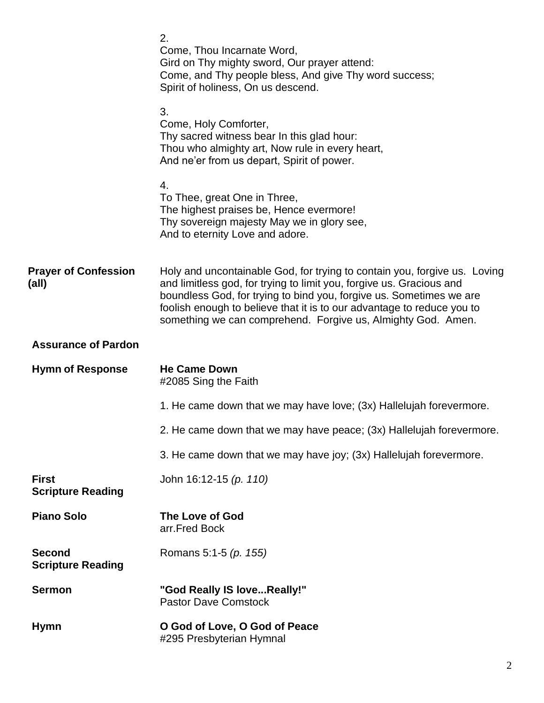|                                           | 2.<br>Come, Thou Incarnate Word,<br>Gird on Thy mighty sword, Our prayer attend:<br>Come, and Thy people bless, And give Thy word success;<br>Spirit of holiness, On us descend.                                                                                                                                                                                   |
|-------------------------------------------|--------------------------------------------------------------------------------------------------------------------------------------------------------------------------------------------------------------------------------------------------------------------------------------------------------------------------------------------------------------------|
|                                           | 3.<br>Come, Holy Comforter,<br>Thy sacred witness bear In this glad hour:<br>Thou who almighty art, Now rule in every heart,<br>And ne'er from us depart, Spirit of power.                                                                                                                                                                                         |
|                                           | 4.<br>To Thee, great One in Three,<br>The highest praises be, Hence evermore!<br>Thy sovereign majesty May we in glory see,<br>And to eternity Love and adore.                                                                                                                                                                                                     |
| <b>Prayer of Confession</b><br>(all)      | Holy and uncontainable God, for trying to contain you, forgive us. Loving<br>and limitless god, for trying to limit you, forgive us. Gracious and<br>boundless God, for trying to bind you, forgive us. Sometimes we are<br>foolish enough to believe that it is to our advantage to reduce you to<br>something we can comprehend. Forgive us, Almighty God. Amen. |
| <b>Assurance of Pardon</b>                |                                                                                                                                                                                                                                                                                                                                                                    |
| <b>Hymn of Response</b>                   | <b>He Came Down</b><br>#2085 Sing the Faith                                                                                                                                                                                                                                                                                                                        |
|                                           | 1. He came down that we may have love; (3x) Hallelujah forevermore.                                                                                                                                                                                                                                                                                                |
|                                           | 2. He came down that we may have peace; (3x) Hallelujah forevermore.                                                                                                                                                                                                                                                                                               |
|                                           | 3. He came down that we may have joy; (3x) Hallelujah forevermore.                                                                                                                                                                                                                                                                                                 |
| <b>First</b><br><b>Scripture Reading</b>  | John 16:12-15 (p. 110)                                                                                                                                                                                                                                                                                                                                             |
| <b>Piano Solo</b>                         | The Love of God<br>arr.Fred Bock                                                                                                                                                                                                                                                                                                                                   |
| <b>Second</b><br><b>Scripture Reading</b> | Romans 5:1-5 (p. 155)                                                                                                                                                                                                                                                                                                                                              |
| <b>Sermon</b>                             | "God Really IS loveReally!"<br><b>Pastor Dave Comstock</b>                                                                                                                                                                                                                                                                                                         |
| <b>Hymn</b>                               | O God of Love, O God of Peace<br>#295 Presbyterian Hymnal                                                                                                                                                                                                                                                                                                          |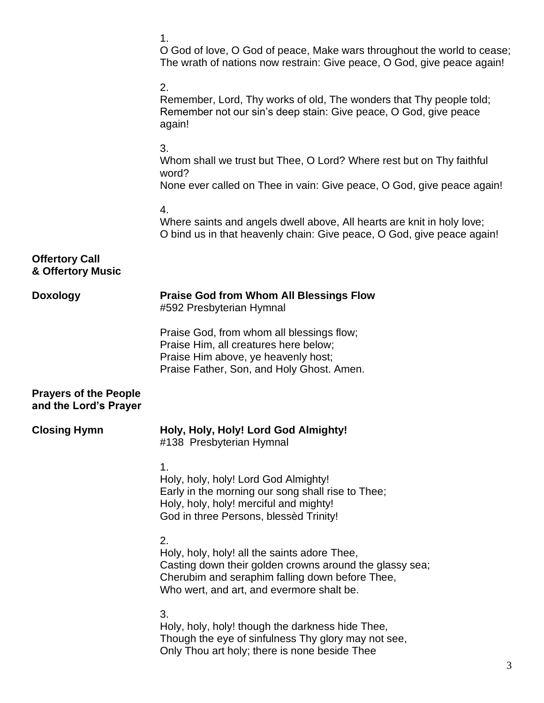|                                                       | 1.<br>O God of love, O God of peace, Make wars throughout the world to cease;<br>The wrath of nations now restrain: Give peace, O God, give peace again!                                                      |
|-------------------------------------------------------|---------------------------------------------------------------------------------------------------------------------------------------------------------------------------------------------------------------|
|                                                       | 2.<br>Remember, Lord, Thy works of old, The wonders that Thy people told;<br>Remember not our sin's deep stain: Give peace, O God, give peace<br>again!                                                       |
|                                                       | 3.<br>Whom shall we trust but Thee, O Lord? Where rest but on Thy faithful<br>word?<br>None ever called on Thee in vain: Give peace, O God, give peace again!                                                 |
|                                                       | 4.<br>Where saints and angels dwell above, All hearts are knit in holy love;<br>O bind us in that heavenly chain: Give peace, O God, give peace again!                                                        |
| <b>Offertory Call</b><br>& Offertory Music            |                                                                                                                                                                                                               |
| <b>Doxology</b>                                       | <b>Praise God from Whom All Blessings Flow</b><br>#592 Presbyterian Hymnal                                                                                                                                    |
|                                                       | Praise God, from whom all blessings flow;<br>Praise Him, all creatures here below;<br>Praise Him above, ye heavenly host;<br>Praise Father, Son, and Holy Ghost. Amen.                                        |
| <b>Prayers of the People</b><br>and the Lord's Prayer |                                                                                                                                                                                                               |
| <b>Closing Hymn</b>                                   | Holy, Holy, Holy! Lord God Almighty!<br>#138 Presbyterian Hymnal                                                                                                                                              |
|                                                       | 1.<br>Holy, holy, holy! Lord God Almighty!<br>Early in the morning our song shall rise to Thee;<br>Holy, holy, holy! merciful and mighty!<br>God in three Persons, blessed Trinity!                           |
|                                                       | 2.<br>Holy, holy, holy! all the saints adore Thee,<br>Casting down their golden crowns around the glassy sea;<br>Cherubim and seraphim falling down before Thee,<br>Who wert, and art, and evermore shalt be. |
|                                                       | 3.<br>Holy, holy, holy! though the darkness hide Thee,<br>Though the eye of sinfulness Thy glory may not see,<br>Only Thou art holy; there is none beside Thee                                                |